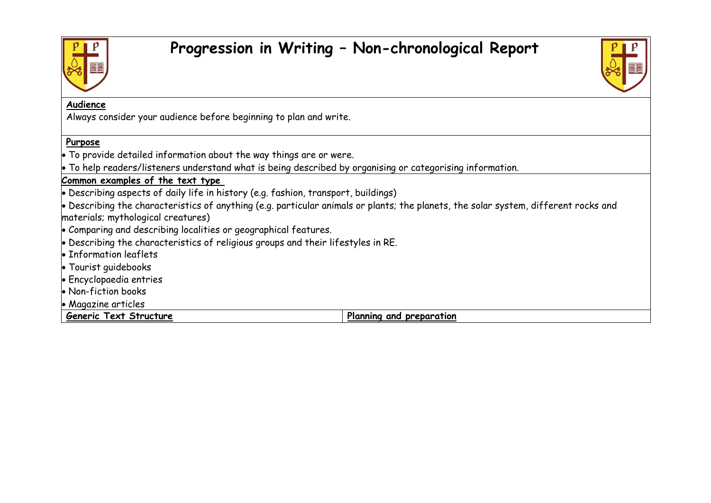

## **Progression in Writing – Non-chronological Report**



## **Audience**

Always consider your audience before beginning to plan and write.

## **Purpose**

• To provide detailed information about the way things are or were.

• To help readers/listeners understand what is being described by organising or categorising information.

## **Common examples of the text type**

• Describing aspects of daily life in history (e.g. fashion, transport, buildings)

• Describing the characteristics of anything (e.g. particular animals or plants; the planets, the solar system, different rocks and materials; mythological creatures)

- Comparing and describing localities or geographical features.
- Describing the characteristics of religious groups and their lifestyles in RE.
- Information leaflets
- Tourist guidebooks
- Encyclopaedia entries
- Non-fiction books
- Magazine articles

**Generic Text Structure Planning and preparation**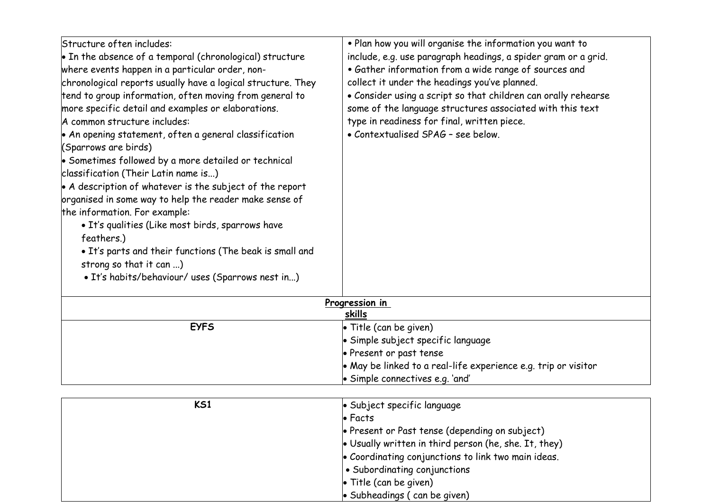| Structure often includes:                                        | . Plan how you will organise the information you want to       |  |
|------------------------------------------------------------------|----------------------------------------------------------------|--|
| $\bullet$ In the absence of a temporal (chronological) structure | include, e.g. use paragraph headings, a spider gram or a grid. |  |
| where events happen in a particular order, non-                  | · Gather information from a wide range of sources and          |  |
| chronological reports usually have a logical structure. They     | collect it under the headings you've planned.                  |  |
| tend to group information, often moving from general to          | • Consider using a script so that children can orally rehearse |  |
| more specific detail and examples or elaborations.               | some of the language structures associated with this text      |  |
| A common structure includes:                                     | type in readiness for final, written piece.                    |  |
| • An opening statement, often a general classification           | • Contextualised SPAG - see below.                             |  |
| (Sparrows are birds)                                             |                                                                |  |
| $\bullet$ Sometimes followed by a more detailed or technical     |                                                                |  |
| classification (Their Latin name is)                             |                                                                |  |
| • A description of whatever is the subject of the report         |                                                                |  |
| organised in some way to help the reader make sense of           |                                                                |  |
| the information. For example:                                    |                                                                |  |
| • It's qualities (Like most birds, sparrows have                 |                                                                |  |
| feathers.)                                                       |                                                                |  |
| • It's parts and their functions (The beak is small and          |                                                                |  |
| strong so that it can )                                          |                                                                |  |
| · It's habits/behaviour/ uses (Sparrows nest in)                 |                                                                |  |
| Progression in                                                   |                                                                |  |
| skills                                                           |                                                                |  |
| <b>EYFS</b>                                                      | $\bullet$ Title (can be given)                                 |  |
|                                                                  | · Simple subject specific language                             |  |
|                                                                  | • Present or past tense                                        |  |

| KS1 | • Subject specific language                                   |
|-----|---------------------------------------------------------------|
|     | $\bullet$ Facts                                               |
|     | • Present or Past tense (depending on subject)                |
|     | $\bullet$ Usually written in third person (he, she. It, they) |
|     | • Coordinating conjunctions to link two main ideas.           |
|     | • Subordinating conjunctions                                  |
|     | $\bullet$ Title (can be given)                                |
|     | $\bullet$ Subheadings (can be given)                          |

• Simple connectives e.g. 'and'

• May be linked to a real-life experience e.g. trip or visitor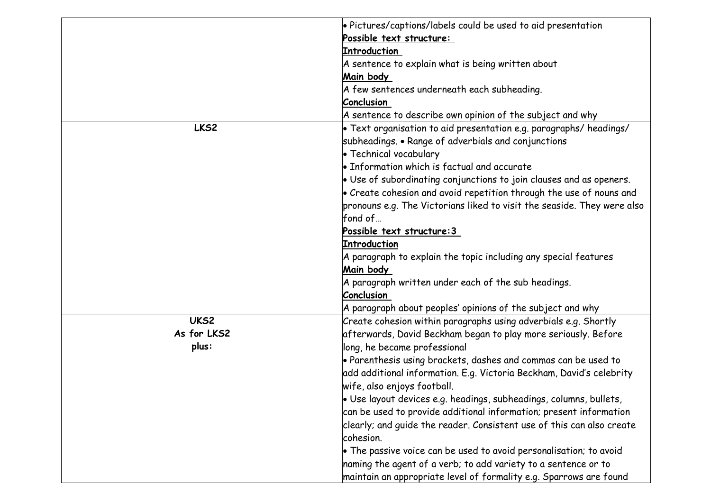|             | • Pictures/captions/labels could be used to aid presentation                |
|-------------|-----------------------------------------------------------------------------|
|             | Possible text structure:                                                    |
|             | <b>Introduction</b>                                                         |
|             | A sentence to explain what is being written about                           |
|             | Main body                                                                   |
|             | A few sentences underneath each subheading.                                 |
|             | <b>Conclusion</b>                                                           |
|             | A sentence to describe own opinion of the subject and why                   |
| LKS2        | $\bullet$ Text organisation to aid presentation e.g. paragraphs/ headings/  |
|             | subheadings. • Range of adverbials and conjunctions                         |
|             | • Technical vocabulary                                                      |
|             | $\bullet$ Information which is factual and accurate                         |
|             | $\bullet$ Use of subordinating conjunctions to join clauses and as openers. |
|             | $\bullet$ Create cohesion and avoid repetition through the use of nouns and |
|             | pronouns e.g. The Victorians liked to visit the seaside. They were also     |
|             | fond of                                                                     |
|             | Possible text structure: 3                                                  |
|             | Introduction                                                                |
|             | A paragraph to explain the topic including any special features             |
|             | Main body                                                                   |
|             | A paragraph written under each of the sub headings.                         |
|             | Conclusion                                                                  |
|             | A paragraph about peoples' opinions of the subject and why                  |
| UKS2        | Create cohesion within paragraphs using adverbials e.g. Shortly             |
| As for LKS2 | afterwards, David Beckham began to play more seriously. Before              |
| plus:       | long, he became professional                                                |
|             | • Parenthesis using brackets, dashes and commas can be used to              |
|             | add additional information. E.g. Victoria Beckham, David's celebrity        |
|             | wife, also enjoys football.                                                 |
|             | · Use layout devices e.g. headings, subheadings, columns, bullets,          |
|             | can be used to provide additional information; present information          |
|             | clearly; and quide the reader. Consistent use of this can also create       |
|             | cohesion.                                                                   |
|             | $\bullet$ The passive voice can be used to avoid personalisation; to avoid  |
|             | naming the agent of a verb; to add variety to a sentence or to              |
|             | maintain an appropriate level of formality e.g. Sparrows are found          |